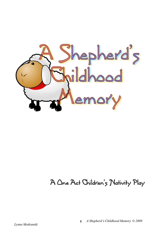

# A One Act Children's Nativity Play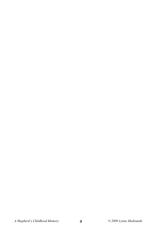*A Shepherd's Childhood Memory* **2** *© 2009 Lynne Modranski*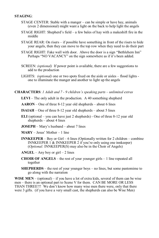### **STAGING**:

- STAGE CENTER: Stable with a manger can be simple or have hay, animals (even 2 dimensional) might want a light on the back to help light the angels
- STAGE RIGHT: Shepherd's field a few bales of hay with a makeshift fire in the middle
- STAGE REAR: On risers if possible have something in front of the risers to hide your angels, then they can move to the top row when they need to do their part
- STAGE RIGHT: Fake wall with door. Above the door is a sign "Bethlehem Inn" Perhaps "NO VACANCY" on the sign somewhere as if it's been added.
- SCREEN: *(optional)* If power point is available, there are a few suggestions to add to the production
- LIGHTS: *(optional)* one or two spots fixed on the aisle or aisles flood lights one to illuminate the manger and another to light up the angels

**CHARACTERS**: *1 Adult and 7 - 9 children's speaking parts – unlimited extras*

**LEVI** – The only adult in the production. A 40 something shepherd

**AARON** – One of three 8-12 year old shepherds – about 6 lines

- **ISAIAH** One of three 8-12 year old shepherds about 5 lines
- **ELI** (optional you can have just 2 shepherds) One of three 8-12 year old shepherds – about 4 lines
- **JOSEPH** Mary's husband about 7 lines
- **MARY** Jesus' Mother 1 line
- **INNKEEPER** Boy or Girl 6 lines (Optionally written for 2 children combine INNKEEPER 1 & INNKEEPER 2 if you're only using one innkeeper) (*Optional:* INNKEEPER(S) may also be in the Choir of Angels)
- $\angle$ **ANGEL** Any boy or girl 2 lines
- **CHOIR OF ANGELS**  the rest of your younger girls 1 line repeated all together
- **SHEPHERDS** the rest of your younger boys no lines, but some pantomime to go along with the narration

**WISE MEN** – (optional) – if you have a lot of extra kids, several of them can be wise men – there is an optional part to Scene V for them. CAN BE MORE OR LESS THAN THREE!!! We don't know how many wise men there were, only that there were 3 gifts. (if you have a very small cast, the shepherds can also be Wise Men)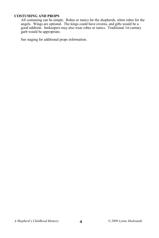## **COSTUMING AND PROPS**

All costuming can be simple. Robes or tunics for the shepherds, white robes for the angels. Wings are optional. The kings could have crowns, and gifts would be a good addition. Innkeepers may also wear robes or tunics. Traditional 1st century garb would be appropriate.

See staging for additional props information.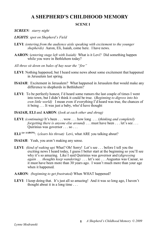## **A SHEPHERD'S CHILDHOOD MEMORY**

## **SCENE I**

*SCREEN: starry night*

*LIGHTS: spot on Shepherd's Field*

- **LEVI**: *(entering from the audience aisle speaking with excitement to the younger shepherds)* Aaron, Eli, Isaiah, come here. I have news.
- **AARON**: (*entering stage left with Isaiah)* What is it Levi? Did something happen while you were in Bethlehem today?
- *All three sit down on bales of hay near the "fire"*
- **LEVI**: Nothing happened, but I heard some news about some excitement that happened in Jerusalem last spring.
- **ISAIAH:** Excitement in Jerusalem? What happened in Jerusalem that would make any difference to shepherds in Bethlehem?
- **LEVI**: To be perfectly honest, I'd heard some rumors the last couple of times I went into town, but I didn't think it could be true. (*Beginning to digress into his own little world)* I mean even if everything I'd heard was true, the chances of it being . . . It was just a baby, who'd have thought
- **ISAIAH, ELI** and **AARON**: (*look at each other and shrug)*
- **LEVI**: *(continuing)* It's been . . . wow . . . how long . . . (*thinking and completely forgetting there is anyone else around*) . . . must have been . . . let's see . . . Quirinius was governor . . . so . . .
- **ELI (or AARON)**: (*clears his throat)* Levi, what ARE you talking about?
- **ISAIAH**: Yeah, you aren't making any sense.
- **LEVI**: *(kind of waking up)* What? Oh! Sorry! Let's see . . . before I tell you the exciting news I heard today, I guess I better start at the beginning so you'll see why it's so amazing. Like I said Quirinius was governor and (*digressing again . . . thoughts keep wandering)* . . . let's see . . . Augustus was Caesar, so it must have been more than 30 years ago. I wasn't much more than your age when it happened.
- **AARON**: *(beginning to get frustrated)* When WHAT happened?
- **LEVI**: I keep doing that. It's just all so amazing! And it was so long ago, I haven't thought about it in a long time . . .